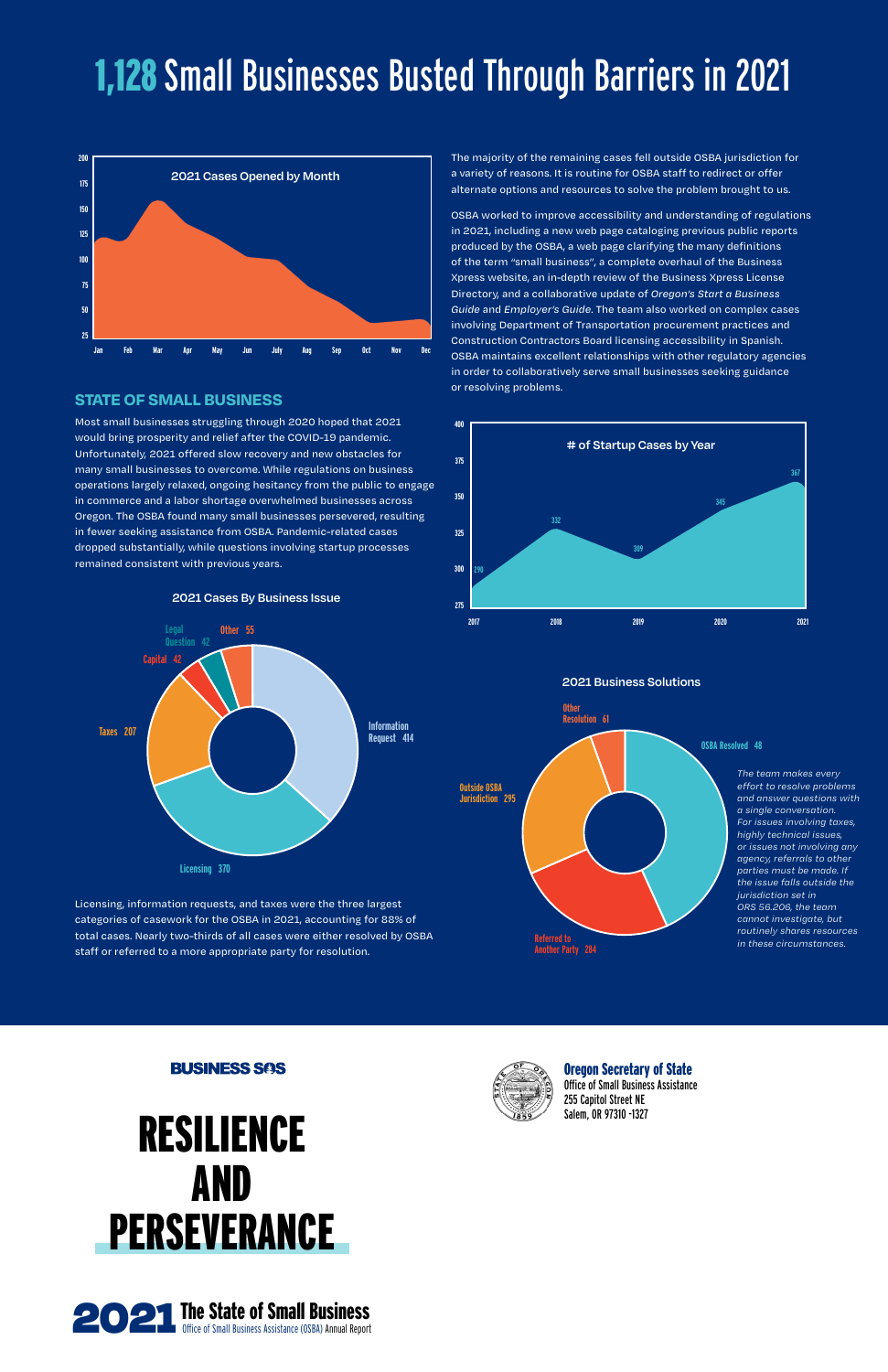Oregon Secretary of State Office of Small Business Assistance 255 Capitol Street NE

# **RESILIENCE** Salem, OR 97310 -1327 AND **PERSEVERANCE**

**BUSINESS SOS** 

# **STATE OF SMALL BUSINESS**

Most small businesses struggling through 2020 hoped that 2021 would bring prosperity and relief after the COVID-19 pandemic. Unfortunately, 2021 offered slow recovery and new obstacles for many small businesses to overcome. While regulations on business operations largely relaxed, ongoing hesitancy from the public to engage in commerce and a labor shortage overwhelmed businesses across Oregon. The OSBA found many small businesses persevered, resulting in fewer seeking assistance from OSBA. Pandemic-related cases dropped substantially, while questions involving startup processes remained consistent with previous years.

Licensing, information requests, and taxes were the three largest categories of casework for the OSBA in 2021, accounting for 88% of total cases. Nearly two-thirds of all cases were either resolved by OSBA staff or referred to a more appropriate party for resolution.

The majority of the remaining cases fell outside OSBA jurisdiction for a variety of reasons. It is routine for OSBA staff to redirect or offer alternate options and resources to solve the problem brought to us.

OSBA worked to improve accessibility and understanding of regulations in 2021, including a new web page cataloging previous public reports produced by the OSBA, a web page clarifying the many definitions of the term "small business", a complete overhaul of the Business Xpress website, an in-depth review of the Business Xpress License Directory, and a collaborative update of *Oregon's Start a Business Guide* and *Employer's Guide*. The team also worked on complex cases involving Department of Transportation procurement practices and Construction Contractors Board licensing accessibility in Spanish. OSBA maintains excellent relationships with other regulatory agencies in order to collaboratively serve small businesses seeking guidance or resolving problems.

> *The team makes every effort to resolve problems and answer questions with a single conversation. For issues involving taxes, highly technical issues, or issues not involving any agency, referrals to other parties must be made. If the issue falls outside the jurisdiction set in ORS 56.206, the team cannot investigate, but routinely shares resources in these circumstances.*





**2021 Cases By Business Issue**





# 1,128 Small Businesses Busted Through Barriers in 2021